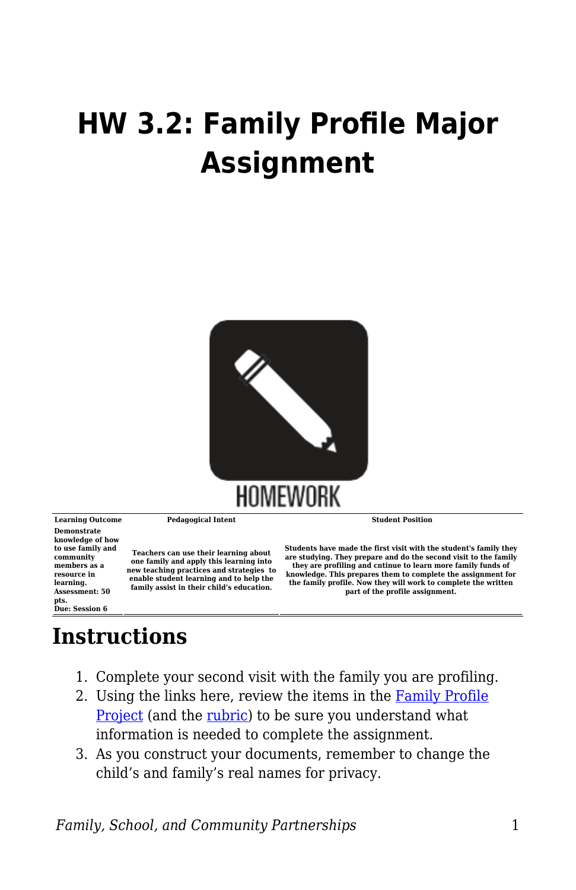## **HW 3.2: Family Profile Major Assignment**



**Demonstrate knowledge of how to use family and community members as a resource in learning. Assessment: 50**

**pts. Due: Session 6**

**Learning Outcome Pedagogical Intent Student Position**

**Teachers can use their learning about one family and apply this learning into new teaching practices and strategies to enable student learning and to help the family assist in their child's education.**

**Students have made the first visit with the student's family they are studying. They prepare and do the second visit to the family they are profiling and cntinue to learn more family funds of knowledge. This prepares them to complete the assignment for the family profile. Now they will work to complete the written part of the profile assignment.**

## **Instructions**

- 1. Complete your second visit with the family you are profiling.
- 2. Using the links here, review the items in the [Family Profile](https://byu.box.com/s/y5434rtrvmaz0upg0cbmw2sij7wd10a8) [Project](https://byu.box.com/s/y5434rtrvmaz0upg0cbmw2sij7wd10a8) (and the [rubric](https://byu.box.com/s/q6er8q9cimy1dle206up2khioongs2nm)) to be sure you understand what information is needed to complete the assignment.
- 3. As you construct your documents, remember to change the child's and family's real names for privacy.

*Family, School, and Community Partnerships* 1